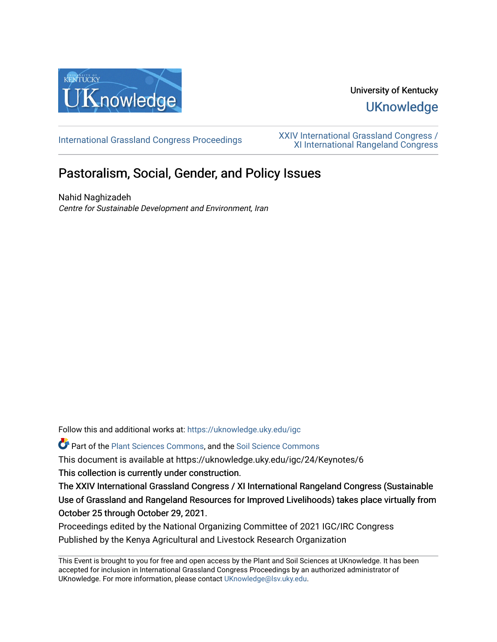

## University of Kentucky **UKnowledge**

[International Grassland Congress Proceedings](https://uknowledge.uky.edu/igc) [XXIV International Grassland Congress /](https://uknowledge.uky.edu/igc/24)  [XI International Rangeland Congress](https://uknowledge.uky.edu/igc/24) 

# Pastoralism, Social, Gender, and Policy Issues

Nahid Naghizadeh Centre for Sustainable Development and Environment, Iran

Follow this and additional works at: [https://uknowledge.uky.edu/igc](https://uknowledge.uky.edu/igc?utm_source=uknowledge.uky.edu%2Figc%2F24%2FKeynotes%2F6&utm_medium=PDF&utm_campaign=PDFCoverPages) 

Part of the [Plant Sciences Commons](http://network.bepress.com/hgg/discipline/102?utm_source=uknowledge.uky.edu%2Figc%2F24%2FKeynotes%2F6&utm_medium=PDF&utm_campaign=PDFCoverPages), and the [Soil Science Commons](http://network.bepress.com/hgg/discipline/163?utm_source=uknowledge.uky.edu%2Figc%2F24%2FKeynotes%2F6&utm_medium=PDF&utm_campaign=PDFCoverPages) 

This document is available at https://uknowledge.uky.edu/igc/24/Keynotes/6

This collection is currently under construction.

The XXIV International Grassland Congress / XI International Rangeland Congress (Sustainable Use of Grassland and Rangeland Resources for Improved Livelihoods) takes place virtually from October 25 through October 29, 2021.

Proceedings edited by the National Organizing Committee of 2021 IGC/IRC Congress Published by the Kenya Agricultural and Livestock Research Organization

This Event is brought to you for free and open access by the Plant and Soil Sciences at UKnowledge. It has been accepted for inclusion in International Grassland Congress Proceedings by an authorized administrator of UKnowledge. For more information, please contact [UKnowledge@lsv.uky.edu](mailto:UKnowledge@lsv.uky.edu).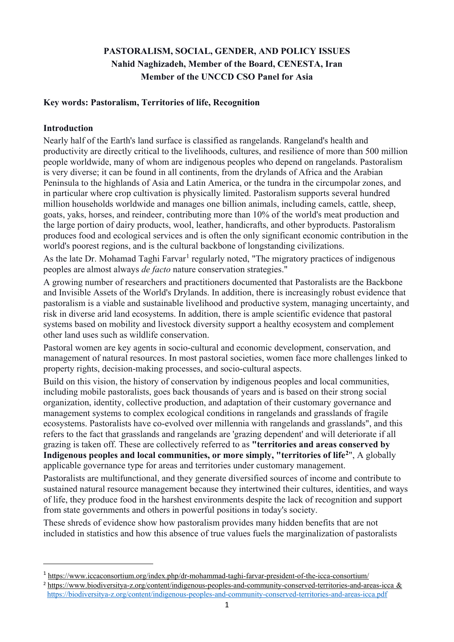## **PASTORALISM, SOCIAL, GENDER, AND POLICY ISSUES Nahid Naghizadeh, Member of the Board, CENESTA, Iran Member of the UNCCD CSO Panel for Asia**

### **Key words: Pastoralism, Territories of life, Recognition**

### **Introduction**

 $\overline{a}$ 

Nearly half of the Earth's land surface is classified as rangelands. Rangeland's health and productivity are directly critical to the livelihoods, cultures, and resilience of more than 500 million people worldwide, many of whom are indigenous peoples who depend on rangelands. Pastoralism is very diverse; it can be found in all continents, from the drylands of Africa and the Arabian Peninsula to the highlands of Asia and Latin America, or the tundra in the circumpolar zones, and in particular where crop cultivation is physically limited. Pastoralism supports several hundred million households worldwide and manages one billion animals, including camels, cattle, sheep, goats, yaks, horses, and reindeer, contributing more than 10% of the world's meat production and the large portion of dairy products, wool, leather, handicrafts, and other byproducts. Pastoralism produces food and ecological services and is often the only significant economic contribution in the world's poorest regions, and is the cultural backbone of longstanding civilizations.

As the late Dr. Mohamad Taghi Farvar<sup>[1](#page-1-0)</sup> regularly noted, "The migratory practices of indigenous peoples are almost always *de facto* nature conservation strategies."

A growing number of researchers and practitioners documented that Pastoralists are the Backbone and Invisible Assets of the World's Drylands. In addition, there is increasingly robust evidence that pastoralism is a viable and sustainable livelihood and productive system, managing uncertainty, and risk in diverse arid land ecosystems. In addition, there is ample scientific evidence that pastoral systems based on mobility and livestock diversity support a healthy ecosystem and complement other land uses such as wildlife conservation.

Pastoral women are key agents in socio-cultural and economic development, conservation, and management of natural resources. In most pastoral societies, women face more challenges linked to property rights, decision-making processes, and socio-cultural aspects.

Build on this vision, the history of conservation by indigenous peoples and local communities, including mobile pastoralists, goes back thousands of years and is based on their strong social organization, identity, collective production, and adaptation of their customary governance and management systems to complex ecological conditions in rangelands and grasslands of fragile ecosystems. Pastoralists have co-evolved over millennia with rangelands and grasslands", and this refers to the fact that grasslands and rangelands are 'grazing dependent' and will deteriorate if all grazing is taken off. These are collectively referred to as **"territories and areas conserved by Indigenous peoples and local communities, or more simply, "territories of life[2](#page-1-1)** ", A globally applicable governance type for areas and territories under customary management.

Pastoralists are multifunctional, and they generate diversified sources of income and contribute to sustained natural resource management because they intertwined their cultures, identities, and ways of life, they produce food in the harshest environments despite the lack of recognition and support from state governments and others in powerful positions in today's society.

These shreds of evidence show how pastoralism provides many hidden benefits that are not included in statistics and how this absence of true values fuels the marginalization of pastoralists

<span id="page-1-0"></span><sup>1</sup> <https://www.iccaconsortium.org/index.php/dr-mohammad-taghi-farvar-president-of-the-icca-consortium/>

<span id="page-1-1"></span><sup>2</sup> <https://www.biodiversitya-z.org/content/indigenous-peoples-and-community-conserved-territories-and-areas-icca> & <https://biodiversitya-z.org/content/indigenous-peoples-and-community-conserved-territories-and-areas-icca.pdf>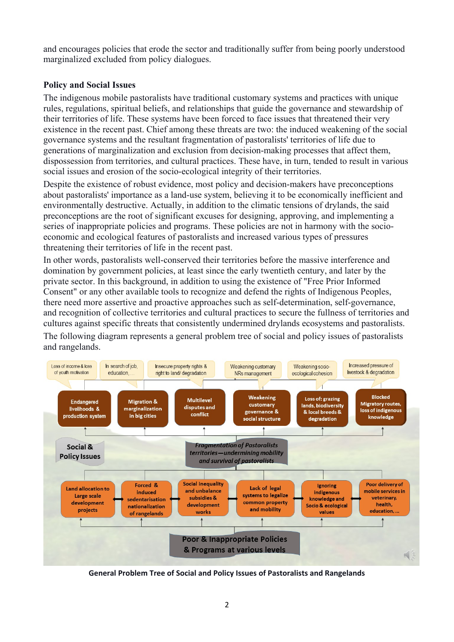and encourages policies that erode the sector and traditionally suffer from being poorly understood marginalized excluded from policy dialogues.

#### **Policy and Social Issues**

The indigenous mobile pastoralists have traditional customary systems and practices with unique rules, regulations, spiritual beliefs, and relationships that guide the governance and stewardship of their territories of life. These systems have been forced to face issues that threatened their very existence in the recent past. Chief among these threats are two: the induced weakening of the social governance systems and the resultant fragmentation of pastoralists' territories of life due to generations of marginalization and exclusion from decision-making processes that affect them, dispossession from territories, and cultural practices. These have, in turn, tended to result in various social issues and erosion of the socio-ecological integrity of their territories.

Despite the existence of robust evidence, most policy and decision-makers have preconceptions about pastoralists' importance as a land-use system, believing it to be economically inefficient and environmentally destructive. Actually, in addition to the climatic tensions of drylands, the said preconceptions are the root of significant excuses for designing, approving, and implementing a series of inappropriate policies and programs. These policies are not in harmony with the socioeconomic and ecological features of pastoralists and increased various types of pressures threatening their territories of life in the recent past.

In other words, pastoralists well-conserved their territories before the massive interference and domination by government policies, at least since the early twentieth century, and later by the private sector. In this background, in addition to using the existence of "Free Prior Informed Consent" or any other available tools to recognize and defend the rights of Indigenous Peoples, there need more assertive and proactive approaches such as self-determination, self-governance, and recognition of collective territories and cultural practices to secure the fullness of territories and cultures against specific threats that consistently undermined drylands ecosystems and pastoralists. The following diagram represents a general problem tree of social and policy issues of pastoralists and rangelands.



**General Problem Tree of Social and Policy Issues of Pastoralists and Rangelands**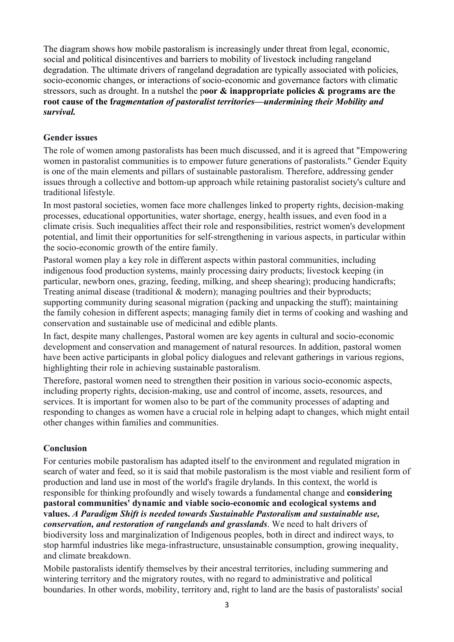The diagram shows how mobile pastoralism is increasingly under threat from legal, economic, social and political disincentives and barriers to mobility of livestock including rangeland degradation. The ultimate drivers of rangeland degradation are typically associated with policies, socio-economic changes, or interactions of socio-economic and governance factors with climatic stressors, such as drought. In a nutshel the p**oor & inappropriate policies & programs are the root cause of the f***ragmentation of pastoralist territories—undermining their Mobility and survival.* 

#### **Gender issues**

The role of women among pastoralists has been much discussed, and it is agreed that "Empowering women in pastoralist communities is to empower future generations of pastoralists." Gender Equity is one of the main elements and pillars of sustainable pastoralism. Therefore, addressing gender issues through a collective and bottom-up approach while retaining pastoralist society's culture and traditional lifestyle.

In most pastoral societies, women face more challenges linked to property rights, decision-making processes, educational opportunities, water shortage, energy, health issues, and even food in a climate crisis. Such inequalities affect their role and responsibilities, restrict women's development potential, and limit their opportunities for self-strengthening in various aspects, in particular within the socio-economic growth of the entire family.

Pastoral women play a key role in different aspects within pastoral communities, including indigenous food production systems, mainly processing dairy products; livestock keeping (in particular, newborn ones, grazing, feeding, milking, and sheep shearing); producing handicrafts; Treating animal disease (traditional & modern); managing poultries and their byproducts; supporting community during seasonal migration (packing and unpacking the stuff); maintaining the family cohesion in different aspects; managing family diet in terms of cooking and washing and conservation and sustainable use of medicinal and edible plants.

In fact, despite many challenges, Pastoral women are key agents in cultural and socio-economic development and conservation and management of natural resources. In addition, pastoral women have been active participants in global policy dialogues and relevant gatherings in various regions, highlighting their role in achieving sustainable pastoralism.

Therefore, pastoral women need to strengthen their position in various socio-economic aspects, including property rights, decision-making, use and control of income, assets, resources, and services. It is important for women also to be part of the community processes of adapting and responding to changes as women have a crucial role in helping adapt to changes, which might entail other changes within families and communities.

## **Conclusion**

For centuries mobile pastoralism has adapted itself to the environment and regulated migration in search of water and feed, so it is said that mobile pastoralism is the most viable and resilient form of production and land use in most of the world's fragile drylands. In this context, the world is responsible for thinking profoundly and wisely towards a fundamental change and **considering pastoral communities' dynamic and viable socio-economic and ecological systems and values.** *A Paradigm Shift is needed towards Sustainable Pastoralism and sustainable use, conservation, and restoration of rangelands and grasslands*. We need to halt drivers of biodiversity loss and marginalization of Indigenous peoples, both in direct and indirect ways, to stop harmful industries like mega-infrastructure, unsustainable consumption, growing inequality, and climate breakdown.

Mobile pastoralists identify themselves by their ancestral territories, including summering and wintering territory and the migratory routes, with no regard to administrative and political boundaries. In other words, mobility, territory and, right to land are the basis of pastoralists' social